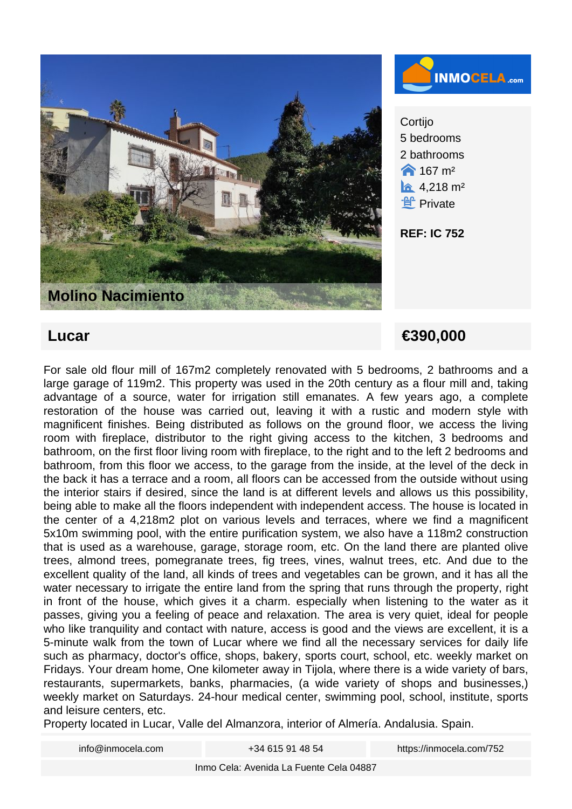



**Cortijo** 5 bedrooms 2 bathrooms  $\bigwedge$  167 m<sup>2</sup>  $\hat{a}$  4,218 m<sup>2</sup> **f** Private

**REF: IC 752**

 **Lucar €390,000** 

For sale old flour mill of 167m2 completely renovated with 5 bedrooms, 2 bathrooms and a large garage of 119m2. This property was used in the 20th century as a flour mill and, taking advantage of a source, water for irrigation still emanates. A few years ago, a complete restoration of the house was carried out, leaving it with a rustic and modern style with magnificent finishes. Being distributed as follows on the ground floor, we access the living room with fireplace, distributor to the right giving access to the kitchen, 3 bedrooms and bathroom, on the first floor living room with fireplace, to the right and to the left 2 bedrooms and bathroom, from this floor we access, to the garage from the inside, at the level of the deck in the back it has a terrace and a room, all floors can be accessed from the outside without using the interior stairs if desired, since the land is at different levels and allows us this possibility, being able to make all the floors independent with independent access. The house is located in the center of a 4,218m2 plot on various levels and terraces, where we find a magnificent 5x10m swimming pool, with the entire purification system, we also have a 118m2 construction that is used as a warehouse, garage, storage room, etc. On the land there are planted olive trees, almond trees, pomegranate trees, fig trees, vines, walnut trees, etc. And due to the excellent quality of the land, all kinds of trees and vegetables can be grown, and it has all the water necessary to irrigate the entire land from the spring that runs through the property, right in front of the house, which gives it a charm. especially when listening to the water as it passes, giving you a feeling of peace and relaxation. The area is very quiet, ideal for people who like tranquility and contact with nature, access is good and the views are excellent, it is a 5-minute walk from the town of Lucar where we find all the necessary services for daily life such as pharmacy, doctor's office, shops, bakery, sports court, school, etc. weekly market on Fridays. Your dream home, One kilometer away in Tijola, where there is a wide variety of bars, restaurants, supermarkets, banks, pharmacies, (a wide variety of shops and businesses,) weekly market on Saturdays. 24-hour medical center, swimming pool, school, institute, sports and leisure centers, etc.

Property located in Lucar, Valle del Almanzora, interior of Almería. Andalusia. Spain.

| info@inmocela.com | +34 615 91 48 54 | https://inmocela.com/752 |
|-------------------|------------------|--------------------------|
|                   |                  |                          |

Inmo Cela: Avenida La Fuente Cela 04887